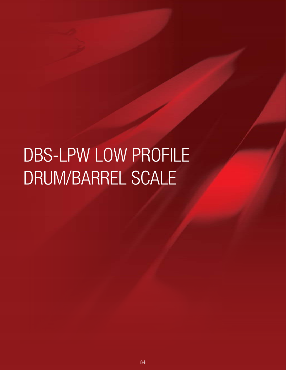# DBS-LPW LOW PROFILE DRUM/BARREL SCALE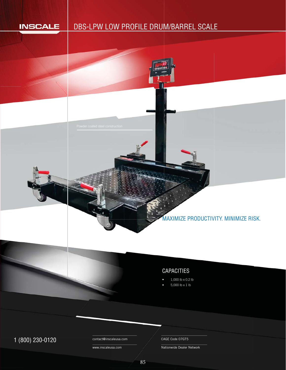

# DBS-LPW LOW PROFILE DRUM/BARREL SCALE



## CAPACITIES

- 1,000 lb x 0.2 lb
- 5,000 lb x 1 lb

 $1 (800) 230-0120$  Contact@inscaleusa.com CAGE Code 07GT5

contact@inscaleusa.com

www.inscaleusa.com

Nationwide Dealer Network

85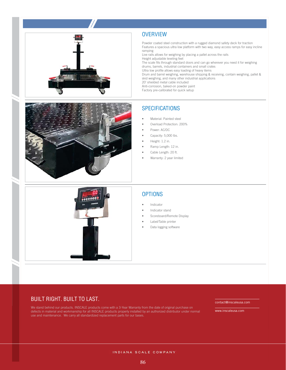



Powder coated steel construction with a rugged diamond safety deck for traction Features a spacious ultra low platform with two way, easy access ramps for easy incline ramping

Live rails allows for weighing by placing a pallet across the rails

Height adjustable leveling feet

The scale fits through standard doors and can go wherever you need it for weighing drums, barrels, industrial containers and small crates

Ultra low profile allows easy loading of heavy items

Drum and barrel weighing, warehouse shipping & receiving, contain weighing, pallet & skid weighing, and many other industrial applications

20' shielded metal cable included

Anti-corrosion, baked-on powder paint Factory pre-calibrated for quick setup



## **SPECIFICATIONS**

- Material: Painted steel
- Overload Protection: 200%
- Power: AC/DC
- Capacity: 5,000 lbs.
- Height: 1.2 in.
- Ramp Length: 12 in.
- Cable Length: 20 ft.
- Warranty: 2 year limited



#### **OPTIONS**

- **Indicator**
- Indicator stand
- Scoreboard/Remote Display
- Label/Table printer
- Data logging software

#### BUILT RIGHT. BUILT TO LAST.

We stand behind our products. INSCALE products come with a 3-Year Warranty from the date of original purchase on defects in material and workmanship for all INSCALE products properly installed by an authorized distributor under normal use and maintenance. We carry all standardized replacement parts for our bases.

contact@inscaleusa.com

www.inscaleusa.com

INDIANA SCALE COMPANY

86